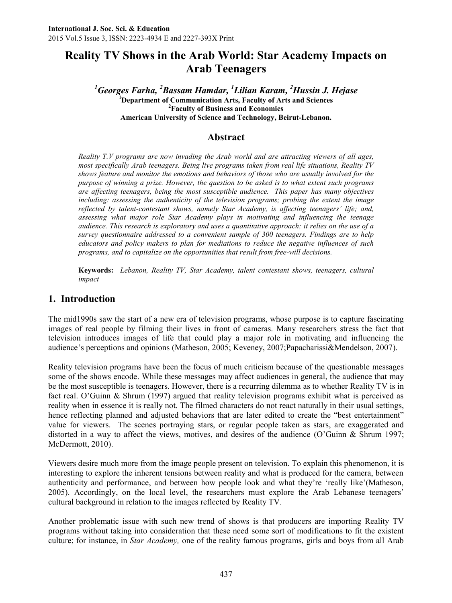# **Reality TV Shows in the Arab World: Star Academy Impacts on Arab Teenagers**

*Georges Farha, <sup>2</sup>Bassam Hamdar, <sup>1</sup>Lilian Karam, <sup>2</sup>Hussin J. Hejase* **Department of Communication Arts, Faculty of Arts and Sciences Faculty of Business and Economics American University of Science and Technology, Beirut-Lebanon.**

# **Abstract**

*Reality T.V programs are now invading the Arab world and are attracting viewers of all ages, most specifically Arab teenagers. Being live programs taken from real life situations, Reality TV shows feature and monitor the emotions and behaviors of those who are usually involved for the purpose of winning a prize. However, the question to be asked is to what extent such programs are affecting teenagers, being the most susceptible audience. This paper has many objectives including: assessing the authenticity of the television programs; probing the extent the image reflected by talent-contestant shows, namely Star Academy, is affecting teenagers' life; and, assessing what major role Star Academy plays in motivating and influencing the teenage audience. This research is exploratory and uses a quantitative approach; it relies on the use of a survey questionnaire addressed to a convenient sample of 300 teenagers. Findings are to help educators and policy makers to plan for mediations to reduce the negative influences of such programs, and to capitalize on the opportunities that result from free-will decisions.*

**Keywords:** *Lebanon, Reality TV, Star Academy, talent contestant shows, teenagers, cultural impact*

# **1. Introduction**

The mid1990s saw the start of a new era of television programs, whose purpose is to capture fascinating images of real people by filming their lives in front of cameras. Many researchers stress the fact that television introduces images of life that could play a major role in motivating and influencing the audience's perceptions and opinions (Matheson, 2005; Keveney, 2007;Papacharissi&Mendelson, 2007).

Reality television programs have been the focus of much criticism because of the questionable messages some of the shows encode. While these messages may affect audiences in general, the audience that may be the most susceptible is teenagers. However, there is a recurring dilemma as to whether Reality TV is in fact real. O'Guinn & Shrum (1997) argued that reality television programs exhibit what is perceived as reality when in essence it is really not. The filmed characters do not react naturally in their usual settings, hence reflecting planned and adjusted behaviors that are later edited to create the "best entertainment" value for viewers. The scenes portraying stars, or regular people taken as stars, are exaggerated and distorted in a way to affect the views, motives, and desires of the audience (O'Guinn & Shrum 1997; McDermott, 2010).

Viewers desire much more from the image people present on television. To explain this phenomenon, it is interesting to explore the inherent tensions between reality and what is produced for the camera, between authenticity and performance, and between how people look and what they're 'really like'(Matheson, 2005). Accordingly, on the local level, the researchers must explore the Arab Lebanese teenagers' cultural background in relation to the images reflected by Reality TV.

Another problematic issue with such new trend of shows is that producers are importing Reality TV programs without taking into consideration that these need some sort of modifications to fit the existent culture; for instance, in *Star Academy,* one of the reality famous programs, girls and boys from all Arab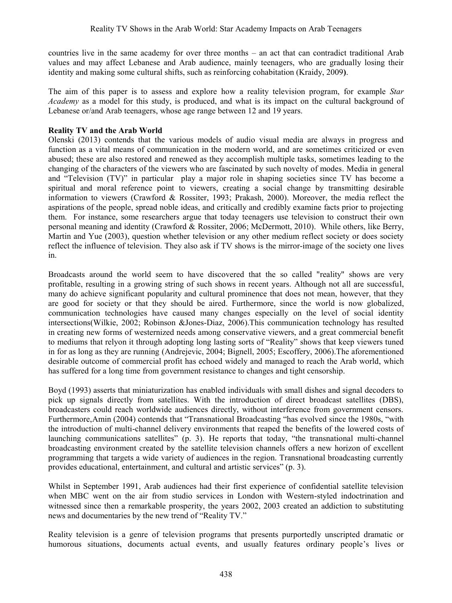countries live in the same academy for over three months – an act that can contradict traditional Arab values and may affect Lebanese and Arab audience, mainly teenagers, who are gradually losing their identity and making some cultural shifts, such as reinforcing cohabitation (Kraidy, 2009**)**.

The aim of this paper is to assess and explore how a reality television program, for example *Star Academy* as a model for this study, is produced, and what is its impact on the cultural background of Lebanese or/and Arab teenagers, whose age range between 12 and 19 years.

### **Reality TV and the Arab World**

Olenski (2013) contends that the various models of audio visual media are always in progress and function as a vital means of communication in the modern world, and are sometimes criticized or even abused; these are also restored and renewed as they accomplish multiple tasks, sometimes leading to the changing of the characters of the viewers who are fascinated by such novelty of modes. Media in general and "Television (TV)" in particular play a major role in shaping societies since TV has become a spiritual and moral reference point to viewers, creating a social change by transmitting desirable information to viewers (Crawford & Rossiter, 1993; Prakash, 2000). Moreover, the media reflect the aspirations of the people, spread noble ideas, and critically and credibly examine facts prior to projecting them. For instance, some researchers argue that today teenagers use television to construct their own personal meaning and identity (Crawford & Rossiter, 2006; McDermott, 2010). While others, like Berry, Martin and Yue (2003), question whether television or any other medium reflect society or does society reflect the influence of television. They also ask if TV shows is the mirror-image of the society one lives in.

Broadcasts around the world seem to have discovered that the so called "reality" shows are very profitable, resulting in a growing string of such shows in recent years. Although not all are successful, many do achieve significant popularity and cultural prominence that does not mean, however, that they are good for society or that they should be aired. Furthermore, since the world is now globalized, communication technologies have caused many changes especially on the level of social identity intersections(Wilkie, 2002; Robinson &Jones-Diaz, 2006).This communication technology has resulted in creating new forms of westernized needs among conservative viewers, and a great commercial benefit to mediums that relyon it through adopting long lasting sorts of "Reality" shows that keep viewers tuned in for as long as they are running (Andrejevic, 2004; Bignell, 2005; Escoffery, 2006).The aforementioned desirable outcome of commercial profit has echoed widely and managed to reach the Arab world, which has suffered for a long time from government resistance to changes and tight censorship.

Boyd (1993) asserts that miniaturization has enabled individuals with small dishes and signal decoders to pick up signals directly from satellites. With the introduction of direct broadcast satellites (DBS), broadcasters could reach worldwide audiences directly, without interference from government censors. Furthermore,Amin (2004) contends that "Transnational Broadcasting "has evolved since the 1980s, "with the introduction of multi-channel delivery environments that reaped the benefits of the lowered costs of launching communications satellites" (p. 3). He reports that today, "the transnational multi-channel broadcasting environment created by the satellite television channels offers a new horizon of excellent programming that targets a wide variety of audiences in the region. Transnational broadcasting currently provides educational, entertainment, and cultural and artistic services" (p. 3).

Whilst in September 1991, Arab audiences had their first experience of confidential satellite television when MBC went on the air from studio services in London with Western-styled indoctrination and witnessed since then a remarkable prosperity, the years 2002, 2003 created an addiction to substituting news and documentaries by the new trend of "Reality TV."

Reality television is a genre of television programs that presents purportedly unscripted dramatic or humorous situations, documents actual events, and usually features ordinary people's lives or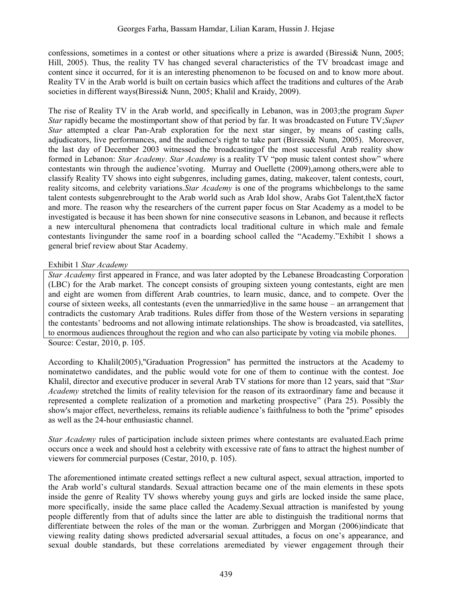confessions, sometimes in a contest or other situations where a prize is awarded (Biressi& Nunn, 2005; Hill, 2005). Thus, the reality TV has changed several characteristics of the TV broadcast image and content since it occurred, for it is an interesting phenomenon to be focused on and to know more about. Reality TV in the Arab world is built on certain basics which affect the traditions and cultures of the Arab societies in different ways(Biressi& Nunn, 2005; Khalil and Kraidy, 2009).

The rise of Reality TV in the Arab world, and specifically in Lebanon, was in 2003;the program *Super Star* rapidly became the mostimportant show of that period by far. It was broadcasted on Future TV;*Super Star* attempted a clear Pan-Arab exploration for the next star singer, by means of casting calls, adjudicators, live performances, and the audience's right to take part (Biressi& Nunn, 2005). Moreover, the last day of December 2003 witnessed the broadcastingof the most successful Arab reality show formed in Lebanon: *Star Academy*. *Star Academy* is a reality TV "pop music talent contest show" where contestants win through the audience'svoting. Murray and Ouellette (2009),among others,were able to classify Reality TV shows into eight subgenres, including games, dating, makeover, talent contests, court, reality sitcoms, and celebrity variations.*Star Academy* is one of the programs whichbelongs to the same talent contests subgenrebrought to the Arab world such as Arab Idol show, Arabs Got Talent,theX factor and more. The reason why the researchers of the current paper focus on Star Academy as a model to be investigated is because it has been shown for nine consecutive seasons in Lebanon, and because it reflects a new intercultural phenomena that contradicts local traditional culture in which male and female contestants livingunder the same roof in a boarding school called the "Academy."Exhibit 1 shows a general brief review about Star Academy.

### Exhibit 1 *Star Academy*

*Star Academy* first appeared in France, and was later adopted by the Lebanese Broadcasting Corporation (LBC) for the Arab market. The concept consists of grouping sixteen young contestants, eight are men and eight are women from different Arab countries, to learn music, dance, and to compete. Over the course of sixteen weeks, all contestants (even the unmarried)live in the same house – an arrangement that contradicts the customary Arab traditions. Rules differ from those of the Western versions in separating the contestants' bedrooms and not allowing intimate relationships. The show is broadcasted, via satellites, to enormous audiences throughout the region and who can also participate by voting via mobile phones. Source: Cestar, 2010, p. 105.

According to Khalil(2005),"Graduation Progression" has permitted the instructors at the Academy to nominatetwo candidates, and the public would vote for one of them to continue with the contest. Joe Khalil, director and executive producer in several Arab TV stations for more than 12 years, said that "*Star Academy* stretched the limits of reality television for the reason of its extraordinary fame and because it represented a complete realization of a promotion and marketing prospective" (Para 25). Possibly the show's major effect, nevertheless, remains its reliable audience's faithfulness to both the "prime" episodes as well as the 24-hour enthusiastic channel.

*Star Academy* rules of participation include sixteen primes where contestants are evaluated.Each prime occurs once a week and should host a celebrity with excessive rate of fans to attract the highest number of viewers for commercial purposes (Cestar, 2010, p. 105).

The aforementioned intimate created settings reflect a new cultural aspect, sexual attraction, imported to the Arab world's cultural standards. Sexual attraction became one of the main elements in these spots inside the genre of Reality TV shows whereby young guys and girls are locked inside the same place, more specifically, inside the same place called the Academy.Sexual attraction is manifested by young people differently from that of adults since the latter are able to distinguish the traditional norms that differentiate between the roles of the man or the woman. Zurbriggen and Morgan (2006)indicate that viewing reality dating shows predicted adversarial sexual attitudes, a focus on one's appearance, and sexual double standards, but these correlations aremediated by viewer engagement through their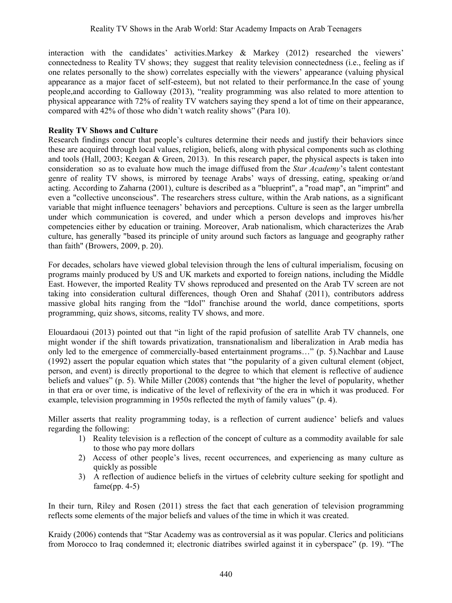interaction with the candidates' activities.Markey & Markey (2012) researched the viewers' connectedness to Reality TV shows; they suggest that reality television connectedness (i.e., feeling as if one relates personally to the show) correlates especially with the viewers' appearance (valuing physical appearance as a major facet of self-esteem), but not related to their performance.In the case of young people,and according to Galloway (2013), "reality programming was also related to more attention to physical appearance with 72% of reality TV watchers saying they spend a lot of time on their appearance, compared with 42% of those who didn't watch reality shows" (Para 10).

#### **Reality TV Shows and Culture**

Research findings concur that people's cultures determine their needs and justify their behaviors since these are acquired through local values, religion, beliefs, along with physical components such as clothing and tools (Hall, 2003; Keegan & Green, 2013). In this research paper, the physical aspects is taken into consideration so as to evaluate how much the image diffused from the *Star Academy*'s talent contestant genre of reality TV shows, is mirrored by teenage Arabs' ways of dressing, eating, speaking or/and acting. According to Zaharna (2001), culture is described as a "blueprint", a "road map", an "imprint" and even a "collective unconscious". The researchers stress culture, within the Arab nations, as a significant variable that might influence teenagers' behaviors and perceptions. Culture is seen as the larger umbrella under which communication is covered, and under which a person develops and improves his/her competencies either by education or training. Moreover, Arab nationalism, which characterizes the Arab culture, has generally "based its principle of unity around such factors as language and geography rather than faith" (Browers, 2009, p. 20).

For decades, scholars have viewed global television through the lens of cultural imperialism, focusing on programs mainly produced by US and UK markets and exported to foreign nations, including the Middle East. However, the imported Reality TV shows reproduced and presented on the Arab TV screen are not taking into consideration cultural differences, though Oren and Shahaf (2011), contributors address massive global hits ranging from the "Idol" franchise around the world, dance competitions, sports programming, quiz shows, sitcoms, reality TV shows, and more.

[Elouardaoui](http://www.eurozine.com/authors/elouardaoui.html) (2013) pointed out that "in light of the rapid profusion of satellite Arab TV channels, one might wonder if the shift towards privatization, transnationalism and liberalization in Arab media has only led to the emergence of commercially-based entertainment programs…" (p. 5).Nachbar and Lause (1992) assert the popular equation which states that "the popularity of a given cultural element (object, person, and event) is directly proportional to the degree to which that element is reflective of audience beliefs and values" (p. 5). While Miller (2008) contends that "the higher the level of popularity, whether in that era or over time, is indicative of the level of reflexivity of the era in which it was produced. For example, television programming in 1950s reflected the myth of family values" (p. 4).

Miller asserts that reality programming today, is a reflection of current audience' beliefs and values regarding the following:

- 1) Reality television is a reflection of the concept of culture as a commodity available for sale to those who pay more dollars
- 2) Access of other people's lives, recent occurrences, and experiencing as many culture as quickly as possible
- 3) A reflection of audience beliefs in the virtues of celebrity culture seeking for spotlight and  $fame(pp. 4-5)$

In their turn, Riley and Rosen (2011) stress the fact that each generation of television programming reflects some elements of the major beliefs and values of the time in which it was created.

Kraidy (2006) contends that "Star Academy was as controversial as it was popular. Clerics and politicians from Morocco to Iraq condemned it; electronic diatribes swirled against it in cyberspace" (p. 19). "The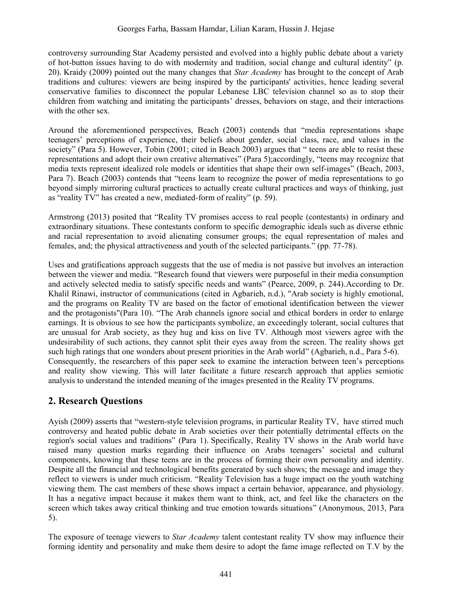controversy surrounding Star Academy persisted and evolved into a highly public debate about a variety of hot-button issues having to do with modernity and tradition, social change and cultural identity" (p. 20). Kraidy (2009) pointed out the many changes that *Star Academy* has brought to the concept of Arab traditions and cultures: viewers are being inspired by the participants' activities, hence leading several conservative families to disconnect the popular Lebanese LBC television channel so as to stop their children from watching and imitating the participants' dresses, behaviors on stage, and their interactions with the other sex.

Around the aforementioned perspectives, Beach (2003) contends that "media representations shape teenagers' perceptions of experience, their beliefs about gender, social class, race, and values in the society" (Para 5). However, Tobin (2001; cited in Beach 2003) argues that " teens are able to resist these representations and adopt their own creative alternatives" (Para 5);accordingly, "teens may recognize that media texts represent idealized role models or identities that shape their own self-images" (Beach, 2003, Para 7). Beach (2003) contends that "teens learn to recognize the power of media representations to go beyond simply mirroring cultural practices to actually create cultural practices and ways of thinking, just as "reality TV" has created a new, mediated-form of reality" (p. 59).

Armstrong (2013) posited that "Reality TV promises access to real people (contestants) in ordinary and extraordinary situations. These contestants conform to specific demographic ideals such as diverse ethnic and racial representation to avoid alienating consumer groups; the equal representation of males and females, and; the physical attractiveness and youth of the selected participants." (pp. 77-78).

Uses and gratifications approach suggests that the use of media is not passive but involves an interaction between the viewer and media. "Research found that viewers were purposeful in their media consumption and actively selected media to satisfy specific needs and wants" (Pearce, 2009, p. 244).According to Dr. Khalil Rinawi, instructor of communications (cited in Agbarieh, n.d.), "Arab society is highly emotional, and the programs on Reality TV are based on the factor of emotional identification between the viewer and the protagonists"(Para 10). "The Arab channels ignore social and ethical borders in order to enlarge earnings. It is obvious to see how the participants symbolize, an exceedingly tolerant, social cultures that are unusual for Arab society, as they hug and kiss on live TV. Although most viewers agree with the undesirability of such actions, they cannot split their eyes away from the screen. The reality shows get such high ratings that one wonders about present priorities in the Arab world" (Agbarieh, n.d., Para 5-6). Consequently, the researchers of this paper seek to examine the interaction between teen's perceptions and reality show viewing. This will later facilitate a future research approach that applies semiotic analysis to understand the intended meaning of the images presented in the Reality TV programs.

# **2. Research Questions**

Ayish (2009) asserts that "western-style television programs, in particular Reality TV, have stirred much controversy and heated public debate in Arab societies over their potentially detrimental effects on the region's social values and traditions" (Para 1). Specifically, Reality TV shows in the Arab world have raised many question marks regarding their influence on Arabs teenagers' societal and cultural components, knowing that these teens are in the process of forming their own personality and identity. Despite all the financial and technological benefits generated by such shows; the message and image they reflect to viewers is under much criticism. "Reality Television has a huge impact on the youth watching viewing them. The cast members of these shows impact a certain behavior, appearance, and physiology. It has a negative impact because it makes them want to think, act, and feel like the characters on the screen which takes away critical thinking and true emotion towards situations" (Anonymous, 2013, Para 5).

The exposure of teenage viewers to *Star Academy* talent contestant reality TV show may influence their forming identity and personality and make them desire to adopt the fame image reflected on T.V by the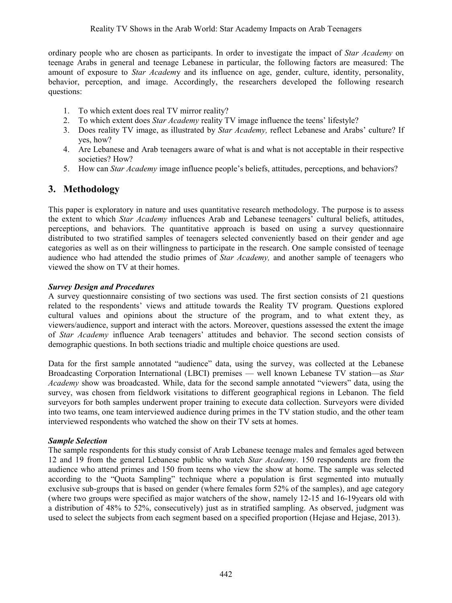ordinary people who are chosen as participants. In order to investigate the impact of *Star Academy* on teenage Arabs in general and teenage Lebanese in particular, the following factors are measured: The amount of exposure to *Star Academ*y and its influence on age, gender, culture, identity, personality, behavior, perception, and image. Accordingly, the researchers developed the following research questions:

- 1. To which extent does real TV mirror reality?
- 2. To which extent does *Star Academy* reality TV image influence the teens' lifestyle?
- 3. Does reality TV image, as illustrated by *Star Academy,* reflect Lebanese and Arabs' culture? If yes, how?
- 4. Are Lebanese and Arab teenagers aware of what is and what is not acceptable in their respective societies? How?
- 5. How can *Star Academy* image influence people's beliefs, attitudes, perceptions, and behaviors?

# **3. Methodology**

This paper is exploratory in nature and uses quantitative research methodology. The purpose is to assess the extent to which *Star Academy* influences Arab and Lebanese teenagers' cultural beliefs, attitudes, perceptions, and behaviors. The quantitative approach is based on using a survey questionnaire distributed to two stratified samples of teenagers selected conveniently based on their gender and age categories as well as on their willingness to participate in the research. One sample consisted of teenage audience who had attended the studio primes of *Star Academy,* and another sample of teenagers who viewed the show on TV at their homes.

### *Survey Design and Procedures*

A survey questionnaire consisting of two sections was used. The first section consists of 21 questions related to the respondents' views and attitude towards the Reality TV program. Questions explored cultural values and opinions about the structure of the program, and to what extent they, as viewers/audience, support and interact with the actors. Moreover, questions assessed the extent the image of *Star Academy* influence Arab teenagers' attitudes and behavior. The second section consists of demographic questions. In both sections triadic and multiple choice questions are used.

Data for the first sample annotated "audience" data, using the survey, was collected at the Lebanese Broadcasting Corporation International (LBCI) premises — well known Lebanese TV station—as *Star Academy* show was broadcasted. While, data for the second sample annotated "viewers" data, using the survey, was chosen from fieldwork visitations to different geographical regions in Lebanon. The field surveyors for both samples underwent proper training to execute data collection. Surveyors were divided into two teams, one team interviewed audience during primes in the TV station studio, and the other team interviewed respondents who watched the show on their TV sets at homes.

# *Sample Selection*

The sample respondents for this study consist of Arab Lebanese teenage males and females aged between 12 and 19 from the general Lebanese public who watch *Star Academy*. 150 respondents are from the audience who attend primes and 150 from teens who view the show at home. The sample was selected according to the "Quota Sampling" technique where a population is first segmented into mutually exclusive sub-groups that is based on gender (where females form 52% of the samples), and age category (where two groups were specified as major watchers of the show, namely 12-15 and 16-19years old with a distribution of 48% to 52%, consecutively) just as in stratified sampling. As observed, judgment was used to select the subjects from each segment based on a specified proportion (Hejase and Hejase, 2013).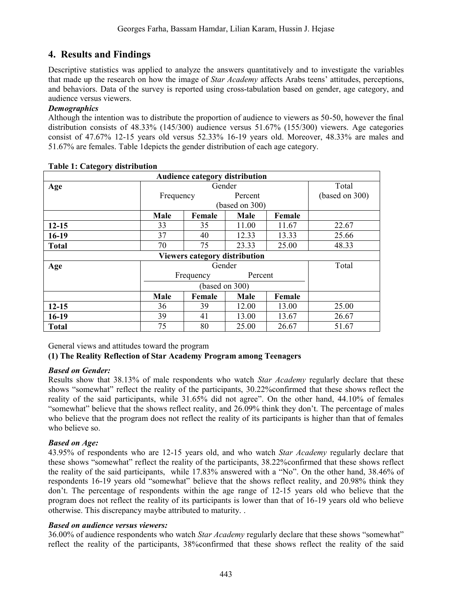# **4. Results and Findings**

Descriptive statistics was applied to analyze the answers quantitatively and to investigate the variables that made up the research on how the image of *Star Academy* affects Arabs teens' attitudes, perceptions, and behaviors. Data of the survey is reported using cross-tabulation based on gender, age category, and audience versus viewers.

## *Demographics*

Although the intention was to distribute the proportion of audience to viewers as 50-50, however the final distribution consists of 48.33% (145/300) audience versus 51.67% (155/300) viewers. Age categories consist of 47.67% 12-15 years old versus 52.33% 16-19 years old. Moreover, 48.33% are males and 51.67% are females. Table 1depicts the gender distribution of each age category.

|              |           | Audience category distribution |                |        |                |
|--------------|-----------|--------------------------------|----------------|--------|----------------|
| Age          |           | Total<br>Gender                |                |        |                |
|              | Frequency |                                | Percent        |        | (based on 300) |
|              |           |                                | (based on 300) |        |                |
|              | Male      | Female                         | Male           | Female |                |
| $12 - 15$    | 33        | 35                             | 11.00          | 11.67  | 22.67          |
| $16-19$      | 37        | 40                             | 12.33          | 13.33  | 25.66          |
| <b>Total</b> | 70        | 75                             | 23.33          | 25.00  | 48.33          |
|              |           | Viewers category distribution  |                |        |                |
| Age          |           |                                | Gender         |        | Total          |
|              |           | Frequency                      | Percent        |        |                |
|              |           |                                | (based on 300) |        |                |
|              | Male      | Female                         | Male           | Female |                |
| $12 - 15$    | 36        | 39                             | 12.00          | 13.00  | 25.00          |
| $16-19$      | 39        | 41                             | 13.00          | 13.67  | 26.67          |
| <b>Total</b> | 75        | 80                             | 25.00          | 26.67  | 51.67          |

#### **Table 1: Category distribution**

General views and attitudes toward the program

# **(1) The Reality Reflection of Star Academy Program among Teenagers**

# *Based on Gender:*

Results show that 38.13% of male respondents who watch *Star Academy* regularly declare that these shows "somewhat" reflect the reality of the participants, 30.22%confirmed that these shows reflect the reality of the said participants, while 31.65% did not agree". On the other hand, 44.10% of females "somewhat" believe that the shows reflect reality, and 26.09% think they don't. The percentage of males who believe that the program does not reflect the reality of its participants is higher than that of females who believe so.

# *Based on Age:*

43.95% of respondents who are 12-15 years old, and who watch *Star Academy* regularly declare that these shows "somewhat" reflect the reality of the participants, 38.22%confirmed that these shows reflect the reality of the said participants, while 17.83% answered with a "No". On the other hand, 38.46% of respondents 16-19 years old "somewhat" believe that the shows reflect reality, and 20.98% think they don't. The percentage of respondents within the age range of 12-15 years old who believe that the program does not reflect the reality of its participants is lower than that of 16-19 years old who believe otherwise. This discrepancy maybe attributed to maturity. .

#### *Based on audience versus viewers:*

36.00% of audience respondents who watch *Star Academy* regularly declare that these shows "somewhat" reflect the reality of the participants, 38%confirmed that these shows reflect the reality of the said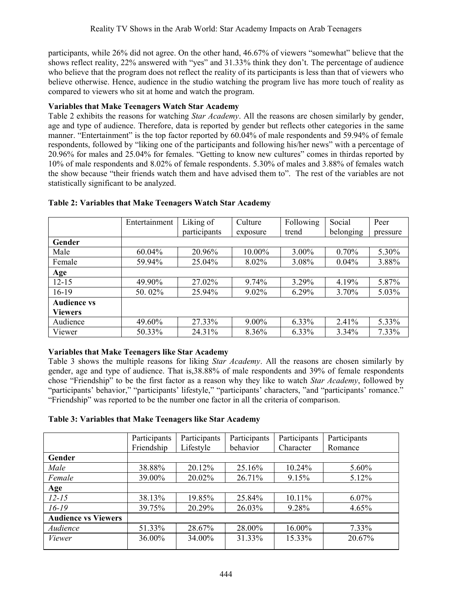participants, while 26% did not agree. On the other hand, 46.67% of viewers "somewhat" believe that the shows reflect reality, 22% answered with "yes" and 31.33% think they don't. The percentage of audience who believe that the program does not reflect the reality of its participants is less than that of viewers who believe otherwise. Hence, audience in the studio watching the program live has more touch of reality as compared to viewers who sit at home and watch the program.

## **Variables that Make Teenagers Watch Star Academy**

Table 2 exhibits the reasons for watching *Star Academy*. All the reasons are chosen similarly by gender, age and type of audience. Therefore, data is reported by gender but reflects other categories in the same manner. "Entertainment" is the top factor reported by 60.04% of male respondents and 59.94% of female respondents, followed by "liking one of the participants and following his/her news" with a percentage of 20.96% for males and 25.04% for females. "Getting to know new cultures" comes in thirdas reported by 10% of male respondents and 8.02% of female respondents. 5.30% of males and 3.88% of females watch the show because "their friends watch them and have advised them to". The rest of the variables are not statistically significant to be analyzed.

|                    | Entertainment | Liking of    | Culture  | Following | Social    | Peer     |
|--------------------|---------------|--------------|----------|-----------|-----------|----------|
|                    |               | participants | exposure | trend     | belonging | pressure |
| Gender             |               |              |          |           |           |          |
| Male               | 60.04%        | 20.96%       | 10.00%   | 3.00%     | 0.70%     | 5.30%    |
| Female             | 59.94%        | 25.04%       | 8.02%    | 3.08%     | $0.04\%$  | 3.88%    |
| Age                |               |              |          |           |           |          |
| $12 - 15$          | 49.90%        | 27.02%       | 9.74%    | 3.29%     | 4.19%     | 5.87%    |
| $16-19$            | 50.02%        | 25.94%       | $9.02\%$ | 6.29%     | 3.70%     | 5.03%    |
| <b>Audience vs</b> |               |              |          |           |           |          |
| <b>Viewers</b>     |               |              |          |           |           |          |
| Audience           | 49.60%        | 27.33%       | $9.00\%$ | 6.33%     | 2.41%     | 5.33%    |
| Viewer             | 50.33%        | 24.31%       | 8.36%    | 6.33%     | 3.34%     | 7.33%    |

### **Table 2: Variables that Make Teenagers Watch Star Academy**

#### **Variables that Make Teenagers like Star Academy**

Table 3 shows the multiple reasons for liking *Star Academy*. All the reasons are chosen similarly by gender, age and type of audience. That is,38.88% of male respondents and 39% of female respondents chose "Friendship" to be the first factor as a reason why they like to watch *Star Academy*, followed by "participants' behavior," "participants' lifestyle," "participants' characters, "and "participants' romance." "Friendship" was reported to be the number one factor in all the criteria of comparison.

#### **Table 3: Variables that Make Teenagers like Star Academy**

|                            | Participants | Participants | Participants | Participants | Participants |
|----------------------------|--------------|--------------|--------------|--------------|--------------|
|                            | Friendship   | Lifestyle    | behavior     | Character    | Romance      |
| Gender                     |              |              |              |              |              |
| Male                       | 38.88%       | 20.12%       | 25.16%       | 10.24%       | $5.60\%$     |
| Female                     | 39.00%       | 20.02%       | 26.71%       | 9.15%        | 5.12%        |
| Age                        |              |              |              |              |              |
| $12 - 15$                  | 38.13%       | 19.85%       | 25.84%       | 10.11%       | $6.07\%$     |
| $16 - 19$                  | 39.75%       | 20.29%       | 26.03%       | 9.28%        | 4.65%        |
| <b>Audience vs Viewers</b> |              |              |              |              |              |
| Audience                   | 51.33%       | 28.67%       | 28.00%       | 16.00%       | 7.33%        |
| Viewer                     | 36.00%       | 34.00%       | 31.33%       | 15.33%       | 20.67%       |
|                            |              |              |              |              |              |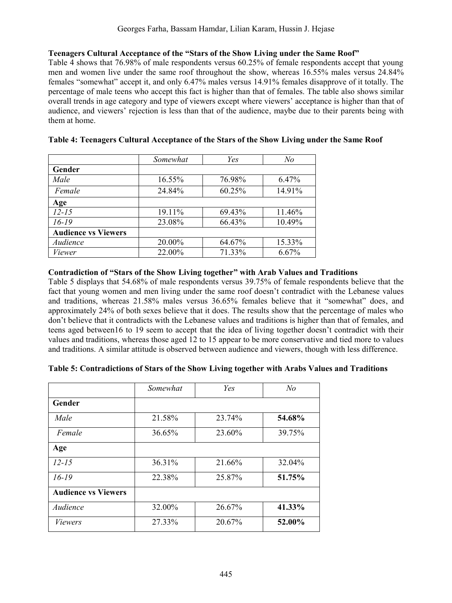#### **Teenagers Cultural Acceptance of the "Stars of the Show Living under the Same Roof"**

Table 4 shows that 76.98% of male respondents versus 60.25% of female respondents accept that young men and women live under the same roof throughout the show, whereas 16.55% males versus 24.84% females "somewhat" accept it, and only 6.47% males versus 14.91% females disapprove of it totally. The percentage of male teens who accept this fact is higher than that of females. The table also shows similar overall trends in age category and type of viewers except where viewers' acceptance is higher than that of audience, and viewers' rejection is less than that of the audience, maybe due to their parents being with them at home.

|                            | Somewhat | Yes    | No     |
|----------------------------|----------|--------|--------|
| Gender                     |          |        |        |
| Male                       | 16.55%   | 76.98% | 6.47%  |
| Female                     | 24.84%   | 60.25% | 14.91% |
| Age                        |          |        |        |
| $12 - 15$                  | 19.11%   | 69.43% | 11.46% |
| $16 - 19$                  | 23.08%   | 66.43% | 10.49% |
| <b>Audience vs Viewers</b> |          |        |        |
| Audience                   | 20.00%   | 64.67% | 15.33% |
| Viewer                     | 22.00%   | 71.33% | 6.67%  |

|  |  |  | Table 4: Teenagers Cultural Acceptance of the Stars of the Show Living under the Same Roof |
|--|--|--|--------------------------------------------------------------------------------------------|
|  |  |  |                                                                                            |

#### **Contradiction of "Stars of the Show Living together" with Arab Values and Traditions**

Table 5 displays that 54.68% of male respondents versus 39.75% of female respondents believe that the fact that young women and men living under the same roof doesn't contradict with the Lebanese values and traditions, whereas 21.58% males versus 36.65% females believe that it "somewhat" does, and approximately 24% of both sexes believe that it does. The results show that the percentage of males who don't believe that it contradicts with the Lebanese values and traditions is higher than that of females, and teens aged between16 to 19 seem to accept that the idea of living together doesn't contradict with their values and traditions, whereas those aged 12 to 15 appear to be more conservative and tied more to values and traditions. A similar attitude is observed between audience and viewers, though with less difference.

|  | Table 5: Contradictions of Stars of the Show Living together with Arabs Values and Traditions |  |  |
|--|-----------------------------------------------------------------------------------------------|--|--|
|  |                                                                                               |  |  |

|                            | Somewhat | Yes    | N <sub>o</sub> |
|----------------------------|----------|--------|----------------|
| Gender                     |          |        |                |
| Male                       | 21.58%   | 23.74% | 54.68%         |
| Female                     | 36.65%   | 23.60% | 39.75%         |
| Age                        |          |        |                |
| $12 - 15$                  | 36.31%   | 21.66% | 32.04%         |
| $16-19$                    | 22.38%   | 25.87% | 51.75%         |
| <b>Audience vs Viewers</b> |          |        |                |
| Audience                   | 32.00%   | 26.67% | 41.33%         |
| <i>Viewers</i>             | 27.33%   | 20.67% | 52.00%         |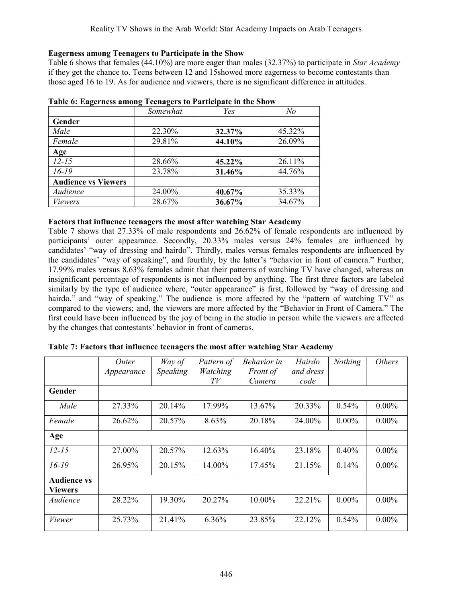### **Eagerness among Teenagers to Participate in the Show**

Table 6 shows that females (44.10%) are more eager than males (32.37%) to participate in *Star Academy* if they get the chance to. Teens between 12 and 15showed more eagerness to become contestants than those aged 16 to 19. As for audience and viewers, there is no significant difference in attitudes.

|                            | Somewhat | Yes    | No     |
|----------------------------|----------|--------|--------|
| Gender                     |          |        |        |
| Male                       | 22.30%   | 32.37% | 45.32% |
| Female                     | 29.81%   | 44.10% | 26.09% |
| Age                        |          |        |        |
| $12 - 15$                  | 28.66%   | 45.22% | 26.11% |
| $16-19$                    | 23.78%   | 31.46% | 44.76% |
| <b>Audience vs Viewers</b> |          |        |        |
| Audience                   | 24.00%   | 40.67% | 35.33% |
| <i>Viewers</i>             | 28.67%   | 36.67% | 34.67% |

|  |  | Table 6: Eagerness among Teenagers to Participate in the Show |
|--|--|---------------------------------------------------------------|
|  |  |                                                               |

#### **Factors that influence teenagers the most after watching Star Academy**

Table 7 shows that 27.33% of male respondents and 26.62% of female respondents are influenced by participants' outer appearance. Secondly, 20.33% males versus 24% females are influenced by candidates' "way of dressing and hairdo". Thirdly, males versus females respondents are influenced by the candidates' "way of speaking", and fourthly, by the latter's "behavior in front of camera." Further, 17.99% males versus 8.63% females admit that their patterns of watching TV have changed, whereas an insignificant percentage of respondents is not influenced by anything. The first three factors are labeled similarly by the type of audience where, "outer appearance" is first, followed by "way of dressing and hairdo," and "way of speaking." The audience is more affected by the "pattern of watching TV" as compared to the viewers; and, the viewers are more affected by the "Behavior in Front of Camera." The first could have been influenced by the joy of being in the studio in person while the viewers are affected by the changes that contestants' behavior in front of cameras.

|                    | Outer      | Way of   | Pattern of | <b>Behavior</b> in | Hairdo    | Nothing  | <i>Others</i> |
|--------------------|------------|----------|------------|--------------------|-----------|----------|---------------|
|                    | Appearance | Speaking | Watching   | <i>Front of</i>    | and dress |          |               |
|                    |            |          | TV         | Camera             | code      |          |               |
| Gender             |            |          |            |                    |           |          |               |
| Male               | 27.33%     | 20.14%   | 17.99%     | 13.67%             | 20.33%    | $0.54\%$ | $0.00\%$      |
| Female             | 26.62%     | 20.57%   | 8.63%      | 20.18%             | 24.00%    | $0.00\%$ | $0.00\%$      |
| Age                |            |          |            |                    |           |          |               |
| $12 - 15$          | 27.00%     | 20.57%   | 12.63%     | 16.40%             | 23.18%    | 0.40%    | $0.00\%$      |
| $16 - 19$          | 26.95%     | 20.15%   | 14.00%     | 17.45%             | 21.15%    | 0.14%    | $0.00\%$      |
| <b>Audience vs</b> |            |          |            |                    |           |          |               |
| <b>Viewers</b>     |            |          |            |                    |           |          |               |
| Audience           | 28.22%     | 19.30%   | 20.27%     | 10.00%             | 22.21%    | $0.00\%$ | $0.00\%$      |
| Viewer             | 25.73%     | 21.41%   | 6.36%      | 23.85%             | 22.12%    | $0.54\%$ | $0.00\%$      |

**Table 7: Factors that influence teenagers the most after watching Star Academy**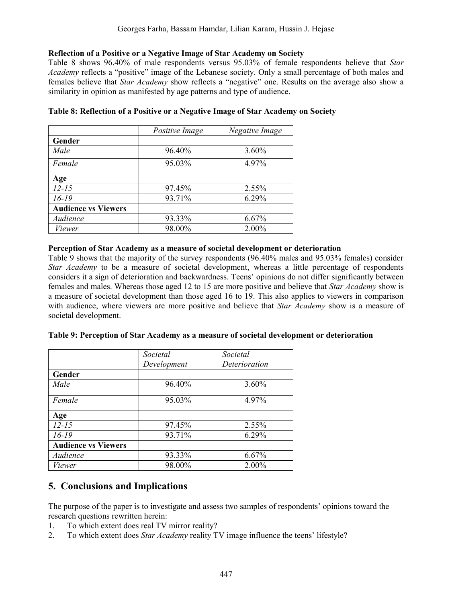### **Reflection of a Positive or a Negative Image of Star Academy on Society**

Table 8 shows 96.40% of male respondents versus 95.03% of female respondents believe that *Star Academy* reflects a "positive" image of the Lebanese society. Only a small percentage of both males and females believe that *Star Academy* show reflects a "negative" one. Results on the average also show a similarity in opinion as manifested by age patterns and type of audience.

|                            | Positive Image | Negative Image |
|----------------------------|----------------|----------------|
| Gender                     |                |                |
| Male                       | 96.40%         | $3.60\%$       |
| Female                     | 95.03%         | 4.97%          |
| Age                        |                |                |
| $12 - 15$                  | 97.45%         | 2.55%          |
| $16 - 19$                  | 93.71%         | 6.29%          |
| <b>Audience vs Viewers</b> |                |                |
| Audience                   | 93.33%         | 6.67%          |
| Viewer                     | 98.00%         | 2.00%          |

#### **Table 8: Reflection of a Positive or a Negative Image of Star Academy on Society**

#### **Perception of Star Academy as a measure of societal development or deterioration**

Table 9 shows that the majority of the survey respondents (96.40% males and 95.03% females) consider *Star Academy* to be a measure of societal development, whereas a little percentage of respondents considers it a sign of deterioration and backwardness. Teens' opinions do not differ significantly between females and males. Whereas those aged 12 to 15 are more positive and believe that *Star Academy* show is a measure of societal development than those aged 16 to 19. This also applies to viewers in comparison with audience, where viewers are more positive and believe that *Star Academy* show is a measure of societal development.

|                            | Societal    | Societal      |
|----------------------------|-------------|---------------|
|                            | Development | Deterioration |
| Gender                     |             |               |
| Male                       | 96.40%      | $3.60\%$      |
| Female                     | 95.03%      | 4.97%         |
| Age                        |             |               |
| $12 - 15$                  | 97.45%      | 2.55%         |
| $16-19$                    | 93.71%      | 6.29%         |
| <b>Audience vs Viewers</b> |             |               |
| Audience                   | 93.33%      | $6.67\%$      |
| Viewer                     | 98.00%      | 2.00%         |

# **5. Conclusions and Implications**

The purpose of the paper is to investigate and assess two samples of respondents' opinions toward the research questions rewritten herein:

- 1. To which extent does real TV mirror reality?
- 2. To which extent does *Star Academy* reality TV image influence the teens' lifestyle?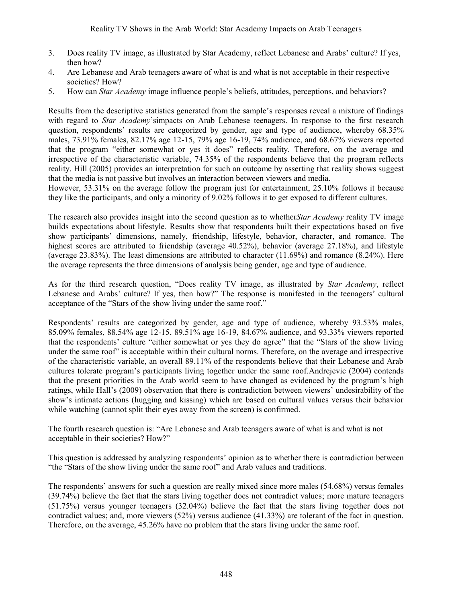- 3. Does reality TV image, as illustrated by Star Academy, reflect Lebanese and Arabs' culture? If yes, then how?
- 4. Are Lebanese and Arab teenagers aware of what is and what is not acceptable in their respective societies? How?
- 5. How can *Star Academy* image influence people's beliefs, attitudes, perceptions, and behaviors?

Results from the descriptive statistics generated from the sample's responses reveal a mixture of findings with regard to *Star Academy*'simpacts on Arab Lebanese teenagers. In response to the first research question, respondents' results are categorized by gender, age and type of audience, whereby 68.35% males, 73.91% females, 82.17% age 12-15, 79% age 16-19, 74% audience, and 68.67% viewers reported that the program "either somewhat or yes it does" reflects reality. Therefore, on the average and irrespective of the characteristic variable, 74.35% of the respondents believe that the program reflects reality. Hill (2005) provides an interpretation for such an outcome by asserting that reality shows suggest that the media is not passive but involves an interaction between viewers and media.

However, 53.31% on the average follow the program just for entertainment, 25.10% follows it because they like the participants, and only a minority of 9.02% follows it to get exposed to different cultures.

The research also provides insight into the second question as to whether*Star Academy* reality TV image builds expectations about lifestyle. Results show that respondents built their expectations based on five show participants' dimensions, namely, friendship, lifestyle, behavior, character, and romance. The highest scores are attributed to friendship (average 40.52%), behavior (average 27.18%), and lifestyle (average 23.83%). The least dimensions are attributed to character (11.69%) and romance (8.24%). Here the average represents the three dimensions of analysis being gender, age and type of audience.

As for the third research question, "Does reality TV image, as illustrated by *Star Academy*, reflect Lebanese and Arabs' culture? If yes, then how?" The response is manifested in the teenagers' cultural acceptance of the "Stars of the show living under the same roof."

Respondents' results are categorized by gender, age and type of audience, whereby 93.53% males, 85.09% females, 88.54% age 12-15, 89.51% age 16-19, 84.67% audience, and 93.33% viewers reported that the respondents' culture "either somewhat or yes they do agree" that the "Stars of the show living under the same roof" is acceptable within their cultural norms. Therefore, on the average and irrespective of the characteristic variable, an overall 89.11% of the respondents believe that their Lebanese and Arab cultures tolerate program's participants living together under the same roof.Andrejevic (2004) contends that the present priorities in the Arab world seem to have changed as evidenced by the program's high ratings, while Hall's (2009) observation that there is contradiction between viewers' undesirability of the show's intimate actions (hugging and kissing) which are based on cultural values versus their behavior while watching (cannot split their eyes away from the screen) is confirmed.

The fourth research question is: "Are Lebanese and Arab teenagers aware of what is and what is not acceptable in their societies? How?"

This question is addressed by analyzing respondents' opinion as to whether there is contradiction between "the "Stars of the show living under the same roof" and Arab values and traditions.

The respondents' answers for such a question are really mixed since more males (54.68%) versus females (39.74%) believe the fact that the stars living together does not contradict values; more mature teenagers (51.75%) versus younger teenagers (32.04%) believe the fact that the stars living together does not contradict values; and, more viewers (52%) versus audience (41.33%) are tolerant of the fact in question. Therefore, on the average, 45.26% have no problem that the stars living under the same roof.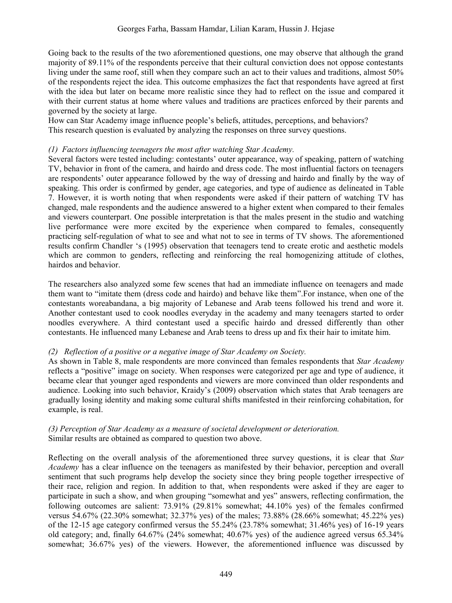Going back to the results of the two aforementioned questions, one may observe that although the grand majority of 89.11% of the respondents perceive that their cultural conviction does not oppose contestants living under the same roof, still when they compare such an act to their values and traditions, almost 50% of the respondents reject the idea. This outcome emphasizes the fact that respondents have agreed at first with the idea but later on became more realistic since they had to reflect on the issue and compared it with their current status at home where values and traditions are practices enforced by their parents and governed by the society at large.

How can Star Academy image influence people's beliefs, attitudes, perceptions, and behaviors? This research question is evaluated by analyzing the responses on three survey questions.

### *(1) Factors influencing teenagers the most after watching Star Academy.*

Several factors were tested including: contestants' outer appearance, way of speaking, pattern of watching TV, behavior in front of the camera, and hairdo and dress code. The most influential factors on teenagers are respondents' outer appearance followed by the way of dressing and hairdo and finally by the way of speaking. This order is confirmed by gender, age categories, and type of audience as delineated in Table 7. However, it is worth noting that when respondents were asked if their pattern of watching TV has changed, male respondents and the audience answered to a higher extent when compared to their females and viewers counterpart. One possible interpretation is that the males present in the studio and watching live performance were more excited by the experience when compared to females, consequently practicing self-regulation of what to see and what not to see in terms of TV shows. The aforementioned results confirm Chandler 's (1995) observation that teenagers tend to create erotic and aesthetic models which are common to genders, reflecting and reinforcing the real homogenizing attitude of clothes, hairdos and behavior.

The researchers also analyzed some few scenes that had an immediate influence on teenagers and made them want to "imitate them (dress code and hairdo) and behave like them".For instance, when one of the contestants woreabandana, a big majority of Lebanese and Arab teens followed his trend and wore it. Another contestant used to cook noodles everyday in the academy and many teenagers started to order noodles everywhere. A third contestant used a specific hairdo and dressed differently than other contestants. He influenced many Lebanese and Arab teens to dress up and fix their hair to imitate him.

#### *(2) Reflection of a positive or a negative image of Star Academy on Society.*

As shown in Table 8, male respondents are more convinced than females respondents that *Star Academy* reflects a "positive" image on society. When responses were categorized per age and type of audience, it became clear that younger aged respondents and viewers are more convinced than older respondents and audience. Looking into such behavior, Kraidy's (2009) observation which states that Arab teenagers are gradually losing identity and making some cultural shifts manifested in their reinforcing cohabitation, for example, is real.

### *(3) Perception of Star Academy as a measure of societal development or deterioration.* Similar results are obtained as compared to question two above.

Reflecting on the overall analysis of the aforementioned three survey questions, it is clear that *Star Academy* has a clear influence on the teenagers as manifested by their behavior, perception and overall sentiment that such programs help develop the society since they bring people together irrespective of their race, religion and region. In addition to that, when respondents were asked if they are eager to participate in such a show, and when grouping "somewhat and yes" answers, reflecting confirmation, the following outcomes are salient: 73.91% (29.81% somewhat; 44.10% yes) of the females confirmed versus 54.67% (22.30% somewhat; 32.37% yes) of the males; 73.88% (28.66% somewhat; 45.22% yes) of the 12-15 age category confirmed versus the 55.24% (23.78% somewhat; 31.46% yes) of 16-19 years old category; and, finally 64.67% (24% somewhat; 40.67% yes) of the audience agreed versus 65.34% somewhat; 36.67% yes) of the viewers. However, the aforementioned influence was discussed by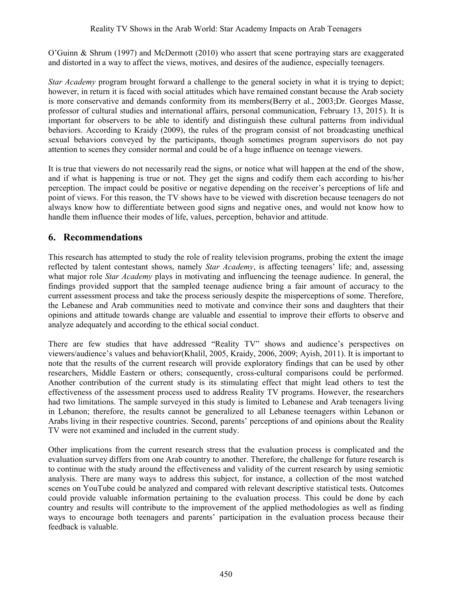O'Guinn & Shrum (1997) and McDermott (2010) who assert that scene portraying stars are exaggerated and distorted in a way to affect the views, motives, and desires of the audience, especially teenagers.

*Star Academy* program brought forward a challenge to the general society in what it is trying to depict; however, in return it is faced with social attitudes which have remained constant because the Arab society is more conservative and demands conformity from its members(Berry et al., 2003;Dr. Georges Masse, professor of cultural studies and international affairs, personal communication, February 13, 2015). It is important for observers to be able to identify and distinguish these cultural patterns from individual behaviors. According to Kraidy (2009), the rules of the program consist of not broadcasting unethical sexual behaviors conveyed by the participants, though sometimes program supervisors do not pay attention to scenes they consider normal and could be of a huge influence on teenage viewers.

It is true that viewers do not necessarily read the signs, or notice what will happen at the end of the show, and if what is happening is true or not. They get the signs and codify them each according to his/her perception. The impact could be positive or negative depending on the receiver's perceptions of life and point of views. For this reason, the TV shows have to be viewed with discretion because teenagers do not always know how to differentiate between good signs and negative ones, and would not know how to handle them influence their modes of life, values, perception, behavior and attitude.

# **6. Recommendations**

This research has attempted to study the role of reality television programs, probing the extent the image reflected by talent contestant shows, namely *Star Academy*, is affecting teenagers' life; and, assessing what major role *Star Academy* plays in motivating and influencing the teenage audience. In general, the findings provided support that the sampled teenage audience bring a fair amount of accuracy to the current assessment process and take the process seriously despite the misperceptions of some. Therefore, the Lebanese and Arab communities need to motivate and convince their sons and daughters that their opinions and attitude towards change are valuable and essential to improve their efforts to observe and analyze adequately and according to the ethical social conduct.

There are few studies that have addressed "Reality TV" shows and audience's perspectives on viewers/audience's values and behavior(Khalil, 2005, Kraidy, 2006, 2009; Ayish, 2011). It is important to note that the results of the current research will provide exploratory findings that can be used by other researchers, Middle Eastern or others; consequently, cross-cultural comparisons could be performed. Another contribution of the current study is its stimulating effect that might lead others to test the effectiveness of the assessment process used to address Reality TV programs. However, the researchers had two limitations. The sample surveyed in this study is limited to Lebanese and Arab teenagers living in Lebanon; therefore, the results cannot be generalized to all Lebanese teenagers within Lebanon or Arabs living in their respective countries. Second, parents' perceptions of and opinions about the Reality TV were not examined and included in the current study.

Other implications from the current research stress that the evaluation process is complicated and the evaluation survey differs from one Arab country to another. Therefore, the challenge for future research is to continue with the study around the effectiveness and validity of the current research by using semiotic analysis. There are many ways to address this subject, for instance, a collection of the most watched scenes on YouTube could be analyzed and compared with relevant descriptive statistical tests. Outcomes could provide valuable information pertaining to the evaluation process. This could be done by each country and results will contribute to the improvement of the applied methodologies as well as finding ways to encourage both teenagers and parents' participation in the evaluation process because their feedback is valuable.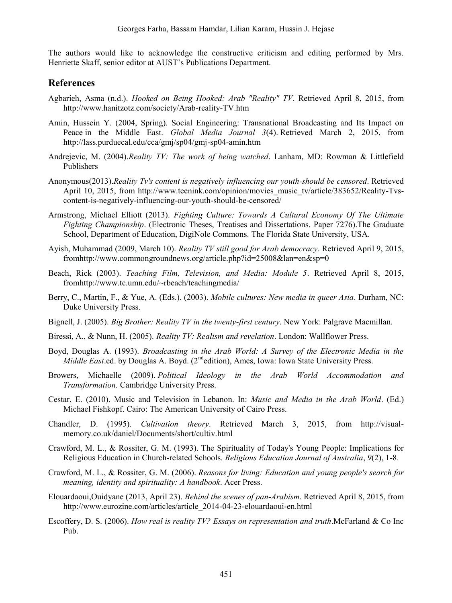The authors would like to acknowledge the constructive criticism and editing performed by Mrs. Henriette Skaff, senior editor at AUST's Publications Department.

# **References**

- Agbarieh, Asma (n.d.). *Hooked on Being Hooked: Arab "Reality" TV*. Retrieved April 8, 2015, from http://www.hanitzotz.com/society/Arab-reality-TV.htm
- Amin, Hussein Y. (2004, Spring). Social Engineering: Transnational Broadcasting and Its Impact on Peace in the Middle East. *Global Media Journal 3*(4). Retrieved March 2, 2015, from http://lass.purduecal.edu/cca/gmj/sp04/gmj-sp04-amin.htm
- Andrejevic, M. (2004).*Reality TV: The work of being watched*. Lanham, MD: Rowman & Littlefield Publishers
- Anonymous(2013).*Reality Tv's content is negatively influencing our youth-should be censored*. Retrieved April 10, 2015, from http://www.teenink.com/opinion/movies\_music\_tv/article/383652/Reality-Tvscontent-is-negatively-influencing-our-youth-should-be-censored/
- Armstrong, Michael Elliott (2013). *Fighting Culture: Towards A Cultural Economy Of The Ultimate Fighting Championship*. (Electronic Theses, Treatises and Dissertations. Paper 7276).The Graduate School, Department of Education, DigiNole Commons. The Florida State University, USA.
- Ayish, Muhammad (2009, March 10). *Reality TV still good for Arab democracy*. Retrieved April 9, 2015, fromhttp://www.commongroundnews.org/article.php?id=25008&lan=en&sp=0
- Beach, Rick (2003). *Teaching Film, Television, and Media: Module 5*. Retrieved April 8, 2015, fromhttp://www.tc.umn.edu/~rbeach/teachingmedia/
- Berry, C., Martin, F., & Yue, A. (Eds.). (2003). *Mobile cultures: New media in queer Asia*. Durham, NC: Duke University Press.
- Bignell, J. (2005). *Big Brother: Reality TV in the twenty-first century*. New York: Palgrave Macmillan.
- Biressi, A., & Nunn, H. (2005). *Reality TV: Realism and revelation*. London: Wallflower Press.
- Boyd, Douglas A. (1993). *Broadcasting in the Arab World: A Survey of the Electronic Media in the Middle East*.ed. by Douglas A. Boyd. (2<sup>nd</sup>edition), Ames, Iowa: Iowa State University Press.
- Browers, Michaelle (2009). *Political Ideology in the Arab World Accommodation and Transformation.* Cambridge University Press.
- Cestar, E. (2010). Music and Television in Lebanon. In: *Music and Media in the Arab World*. (Ed.) Michael Fishkopf. Cairo: The American University of Cairo Press.
- Chandler, D. (1995). *Cultivation theory*. Retrieved March 3, 2015, from http://visualmemory.co.uk/daniel/Documents/short/cultiv.html
- Crawford, M. L., & Rossiter, G. M. (1993). The Spirituality of Today's Young People: Implications for Religious Education in Church-related Schools. *Religious Education Journal of Australia*, *9*(2), 1-8.
- Crawford, M. L., & Rossiter, G. M. (2006). *Reasons for living: Education and young people's search for meaning, identity and spirituality: A handbook*. Acer Press.
- [Elouardaoui,O](http://www.eurozine.com/authors/elouardaoui.html)uidyane (2013, April 23). *Behind the scenes of pan-Arabism*. Retrieved April 8, 2015, from http://www.eurozine.com/articles/article\_2014-04-23-elouardaoui-en.html
- Escoffery, D. S. (2006). *How real is reality TV? Essays on representation and truth*.McFarland & Co Inc Pub.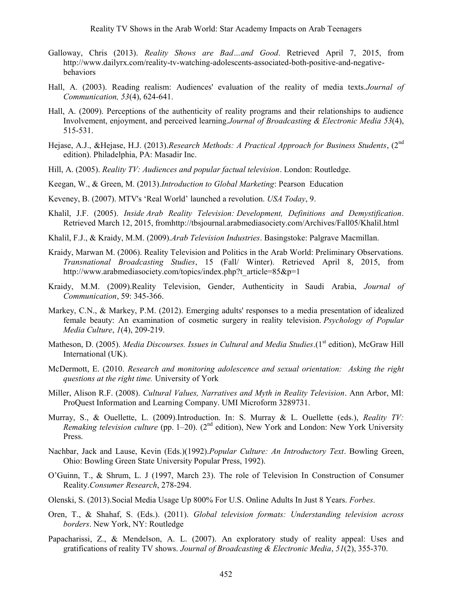- Galloway, Chris (2013). *Reality Shows are Bad…and Good*. Retrieved April 7, 2015, from http://www.dailyrx.com/reality-tv-watching-adolescents-associated-both-positive-and-negativebehaviors
- Hall, A. (2003). Reading realism: Audiences' evaluation of the reality of media texts.*Journal of Communication, 53*(4), 624-641.
- Hall, A. (2009). Perceptions of the authenticity of reality programs and their relationships to audience Involvement, enjoyment, and perceived learning.*Journal of Broadcasting & Electronic Media 53*(4), 515-531.
- Hejase, A.J., &Hejase, H.J. (2013).*Research Methods: A Practical Approach for Business Students*, (2nd edition). Philadelphia, PA: Masadir Inc.
- Hill, A. (2005). *Reality TV: Audiences and popular factual television*. London: Routledge.
- Keegan, W., & Green, M. (2013).*Introduction to Global Marketing*: Pearson Education
- Keveney, B. (2007). MTV's 'Real World' launched a revolution. *USA Today*, 9.
- Khalil, J.F. (2005). *Inside Arab Reality Television: Development, Definitions and Demystification*. Retrieved March 12, 2015, fromhttp://tbsjournal.arabmediasociety.com/Archives/Fall05/Khalil.html
- Khalil, F.J., & Kraidy, M.M. (2009).*Arab Television Industries*. Basingstoke: Palgrave Macmillan.
- Kraidy, Marwan M. (2006). Reality Television and Politics in the Arab World: Preliminary Observations. *Transnational Broadcasting Studies*, 15 (Fall/ Winter). Retrieved April 8, 2015, from http://www.arabmediasociety.com/topics/index.php?t\_article=85&p=1
- Kraidy, M.M. (2009).Reality Television, Gender, Authenticity in Saudi Arabia, *Journal of Communication*, 59: 345-366.
- Markey, C.N., & Markey, P.M. (2012). Emerging adults' responses to a media presentation of idealized female beauty: An examination of cosmetic surgery in reality television. *Psychology of Popular Media Culture*, *1*(4), 209-219.
- Matheson, D. (2005). *Media Discourses. Issues in Cultural and Media Studies*.(1<sup>st</sup> edition), McGraw Hill International (UK).
- McDermott, E. (2010. *Research and monitoring adolescence and sexual orientation: Asking the right questions at the right time.* University of York
- Miller, Alison R.F. (2008). *Cultural Values, Narratives and Myth in Reality Television*. Ann Arbor, MI: ProQuest Information and Learning Company. UMI Microform 3289731.
- Murray, S., & Ouellette, L. (2009).Introduction. In: S. Murray & L. Ouellette (eds.), *Reality TV: Remaking television culture* (pp. 1–20). ( $2<sup>nd</sup>$  edition), New York and London: New York University Press.
- Nachbar, Jack and Lause, Kevin (Eds.)(1992).*Popular Culture: An Introductory Text*. Bowling Green, Ohio: Bowling Green State University Popular Press, 1992).
- O'Guinn, T., & Shrum, L. J (1997, March 23). The role of Television In Construction of Consumer Reality.*Consumer Research*, 278-294.
- Olenski, S. (2013).Social Media Usage Up 800% For U.S. Online Adults In Just 8 Years. *Forbes*.
- Oren, T., & Shahaf, S. (Eds.). (2011). *Global television formats: Understanding television across borders*. New York, NY: Routledge
- Papacharissi, Z., & Mendelson, A. L. (2007). An exploratory study of reality appeal: Uses and gratifications of reality TV shows. *Journal of Broadcasting & Electronic Media*, *51*(2), 355-370.